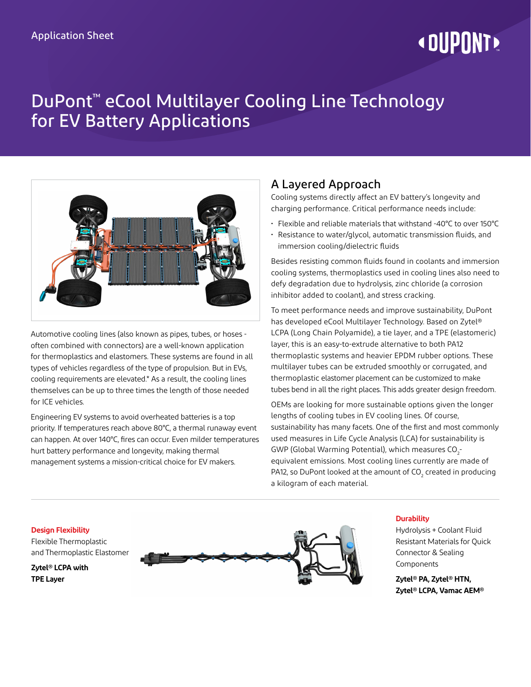## **« DUPONT!**

## DuPont™ eCool Multilayer Cooling Line Technology for EV Battery Applications



Automotive cooling lines (also known as pipes, tubes, or hoses often combined with connectors) are a well-known application for thermoplastics and elastomers. These systems are found in all types of vehicles regardless of the type of propulsion. But in EVs, cooling requirements are elevated.\* As a result, the cooling lines themselves can be up to three times the length of those needed for ICE vehicles.

Engineering EV systems to avoid overheated batteries is a top priority. If temperatures reach above 80°C, a thermal runaway event can happen. At over 140°C, fires can occur. Even milder temperatures hurt battery performance and longevity, making thermal management systems a mission-critical choice for EV makers.

### A Layered Approach

Cooling systems directly affect an EV battery's longevity and charging performance. Critical performance needs include:

- Flexible and reliable materials that withstand -40°C to over 150°C
- Resistance to water/glycol, automatic transmission fluids, and immersion cooling/dielectric fluids

Besides resisting common fluids found in coolants and immersion cooling systems, thermoplastics used in cooling lines also need to defy degradation due to hydrolysis, zinc chloride (a corrosion inhibitor added to coolant), and stress cracking.

To meet performance needs and improve sustainability, DuPont has developed eCool Multilayer Technology. Based on Zytel® LCPA (Long Chain Polyamide), a tie layer, and a TPE (elastomeric) layer, this is an easy-to-extrude alternative to both PA12 thermoplastic systems and heavier EPDM rubber options. These multilayer tubes can be extruded smoothly or corrugated, and thermoplastic elastomer placement can be customized to make tubes bend in all the right places. This adds greater design freedom.

OEMs are looking for more sustainable options given the longer lengths of cooling tubes in EV cooling lines. Of course, sustainability has many facets. One of the first and most commonly used measures in Life Cycle Analysis (LCA) for sustainability is GWP (Global Warming Potential), which measures  $\text{CO}_2$ equivalent emissions. Most cooling lines currently are made of PA12, so DuPont looked at the amount of CO $_{\textrm{\tiny{2}}}$  created in producing a kilogram of each material.

**Design Flexibility** Flexible Thermoplastic and Thermoplastic Elastomer

**Zytel® LCPA with TPE Layer**



#### **Durability**

Hydrolysis + Coolant Fluid Resistant Materials for Quick Connector & Sealing Components

**Zytel® PA, Zytel® HTN, Zytel® LCPA, Vamac AEM®**